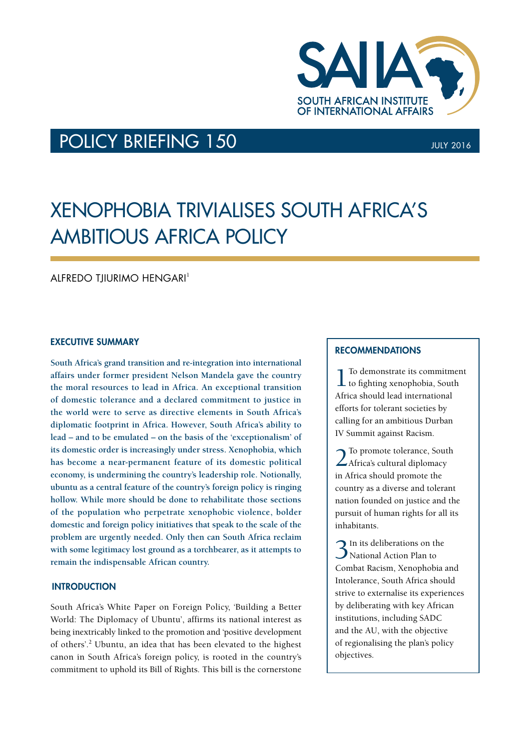

## POLICY BRIEFING 150 **JULY 2016** JULY 2016

# Xenophobia Trivialises South Africa's Ambitious Africa Policy

 $A$ IFREDO TIIURIMO HENGARI<sup>1</sup>

## EXECUTIVE SUMMARY

**South Africa's grand transition and re-integration into international affairs under former president Nelson Mandela gave the country the moral resources to lead in Africa. An exceptional transition of domestic tolerance and a declared commitment to justice in the world were to serve as directive elements in South Africa's diplomatic footprint in Africa. However, South Africa's ability to lead – and to be emulated – on the basis of the 'exceptionalism' of its domestic order is increasingly under stress. Xenophobia, which has become a near-permanent feature of its domestic political economy, is undermining the country's leadership role. Notionally, ubuntu as a central feature of the country's foreign policy is ringing hollow. While more should be done to rehabilitate those sections of the population who perpetrate xenophobic violence, bolder domestic and foreign policy initiatives that speak to the scale of the problem are urgently needed. Only then can South Africa reclaim with some legitimacy lost ground as a torchbearer, as it attempts to remain the indispensable African country.**

## **INTRODUCTION**

South Africa's White Paper on Foreign Policy, 'Building a Better World: The Diplomacy of Ubuntu', affirms its national interest as being inextricably linked to the promotion and 'positive development of others'.<sup>2</sup> Ubuntu, an idea that has been elevated to the highest canon in South Africa's foreign policy, is rooted in the country's commitment to uphold its Bill of Rights. This bill is the cornerstone

### **RECOMMENDATIONS** recommendations

1To demonstrate its commitment to fighting xenophobia, South Africa should lead international efforts for tolerant societies by calling for an ambitious Durban IV Summit against Racism.

2To promote tolerance, South Africa's cultural diplomacy in Africa should promote the country as a diverse and tolerant nation founded on justice and the pursuit of human rights for all its inhabitants.

3In its deliberations on the National Action Plan to Combat Racism, Xenophobia and Intolerance, South Africa should strive to externalise its experiences by deliberating with key African institutions, including SADC and the AU, with the objective of regionalising the plan's policy objectives.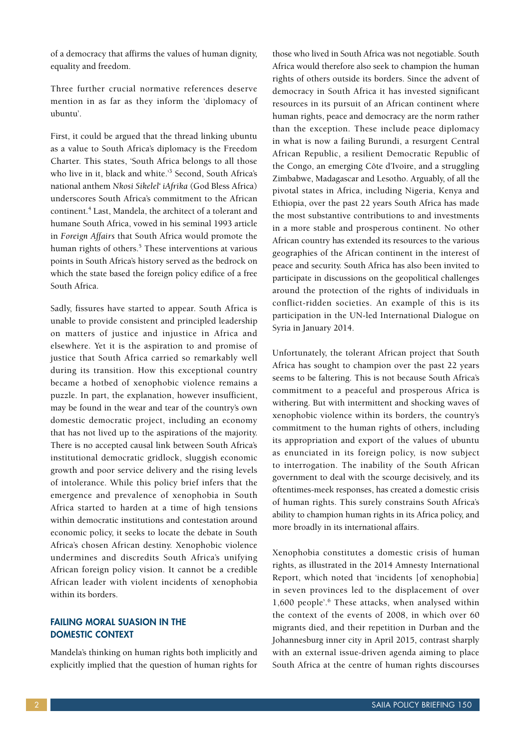of a democracy that affirms the values of human dignity, equality and freedom.

Three further crucial normative references deserve mention in as far as they inform the 'diplomacy of ubuntu'.

First, it could be argued that the thread linking ubuntu as a value to South Africa's diplomacy is the Freedom Charter. This states, 'South Africa belongs to all those who live in it, black and white.'3 Second, South Africa's national anthem *Nkosi Sikelel' iAfrika* (God Bless Africa) underscores South Africa's commitment to the African continent.<sup>4</sup> Last, Mandela, the architect of a tolerant and humane South Africa, vowed in his seminal 1993 article in *Foreign Affairs* that South Africa would promote the human rights of others.<sup>5</sup> These interventions at various points in South Africa's history served as the bedrock on which the state based the foreign policy edifice of a free South Africa.

Sadly, fissures have started to appear. South Africa is unable to provide consistent and principled leadership on matters of justice and injustice in Africa and elsewhere. Yet it is the aspiration to and promise of justice that South Africa carried so remarkably well during its transition. How this exceptional country became a hotbed of xenophobic violence remains a puzzle. In part, the explanation, however insufficient, may be found in the wear and tear of the country's own domestic democratic project, including an economy that has not lived up to the aspirations of the majority. There is no accepted causal link between South Africa's institutional democratic gridlock, sluggish economic growth and poor service delivery and the rising levels of intolerance. While this policy brief infers that the emergence and prevalence of xenophobia in South Africa started to harden at a time of high tensions within democratic institutions and contestation around economic policy, it seeks to locate the debate in South Africa's chosen African destiny. Xenophobic violence undermines and discredits South Africa's unifying African foreign policy vision. It cannot be a credible African leader with violent incidents of xenophobia within its borders.

## FAILING MORAL SUASION IN THE DOMESTIC CONTEXT

Mandela's thinking on human rights both implicitly and explicitly implied that the question of human rights for those who lived in South Africa was not negotiable. South Africa would therefore also seek to champion the human rights of others outside its borders. Since the advent of democracy in South Africa it has invested significant resources in its pursuit of an African continent where human rights, peace and democracy are the norm rather than the exception. These include peace diplomacy in what is now a failing Burundi, a resurgent Central African Republic, a resilient Democratic Republic of the Congo, an emerging Côte d'Ivoire, and a struggling Zimbabwe, Madagascar and Lesotho. Arguably, of all the pivotal states in Africa, including Nigeria, Kenya and Ethiopia, over the past 22 years South Africa has made the most substantive contributions to and investments in a more stable and prosperous continent. No other African country has extended its resources to the various geographies of the African continent in the interest of peace and security. South Africa has also been invited to participate in discussions on the geopolitical challenges around the protection of the rights of individuals in conflict-ridden societies. An example of this is its participation in the UN-led International Dialogue on Syria in January 2014.

Unfortunately, the tolerant African project that South Africa has sought to champion over the past 22 years seems to be faltering. This is not because South Africa's commitment to a peaceful and prosperous Africa is withering. But with intermittent and shocking waves of xenophobic violence within its borders, the country's commitment to the human rights of others, including its appropriation and export of the values of ubuntu as enunciated in its foreign policy, is now subject to interrogation. The inability of the South African government to deal with the scourge decisively, and its oftentimes-meek responses, has created a domestic crisis of human rights. This surely constrains South Africa's ability to champion human rights in its Africa policy, and more broadly in its international affairs.

Xenophobia constitutes a domestic crisis of human rights, as illustrated in the 2014 Amnesty International Report, which noted that 'incidents [of xenophobia] in seven provinces led to the displacement of over 1,600 people'.6 These attacks, when analysed within the context of the events of 2008, in which over 60 migrants died, and their repetition in Durban and the Johannesburg inner city in April 2015, contrast sharply with an external issue-driven agenda aiming to place South Africa at the centre of human rights discourses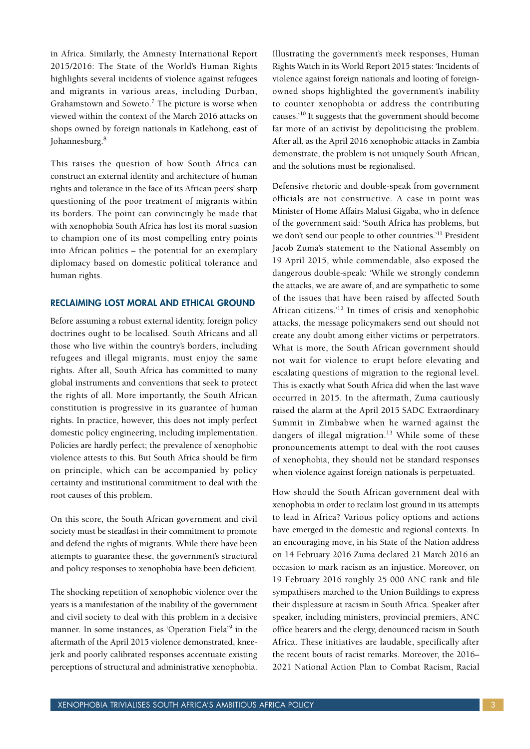in Africa. Similarly, the Amnesty International Report 2015/2016: The State of the World's Human Rights highlights several incidents of violence against refugees and migrants in various areas, including Durban, Grahamstown and Soweto.<sup>7</sup> The picture is worse when viewed within the context of the March 2016 attacks on shops owned by foreign nationals in Katlehong, east of Johannesburg.<sup>8</sup>

This raises the question of how South Africa can construct an external identity and architecture of human rights and tolerance in the face of its African peers' sharp questioning of the poor treatment of migrants within its borders. The point can convincingly be made that with xenophobia South Africa has lost its moral suasion to champion one of its most compelling entry points into African politics – the potential for an exemplary diplomacy based on domestic political tolerance and human rights.

## RECLAIMING LOST MORAL AND ETHICAL GROUND

Before assuming a robust external identity, foreign policy doctrines ought to be localised. South Africans and all those who live within the country's borders, including refugees and illegal migrants, must enjoy the same rights. After all, South Africa has committed to many global instruments and conventions that seek to protect the rights of all. More importantly, the South African constitution is progressive in its guarantee of human rights. In practice, however, this does not imply perfect domestic policy engineering, including implementation. Policies are hardly perfect; the prevalence of xenophobic violence attests to this. But South Africa should be firm on principle, which can be accompanied by policy certainty and institutional commitment to deal with the root causes of this problem.

On this score, the South African government and civil society must be steadfast in their commitment to promote and defend the rights of migrants. While there have been attempts to guarantee these, the government's structural and policy responses to xenophobia have been deficient.

The shocking repetition of xenophobic violence over the years is a manifestation of the inability of the government and civil society to deal with this problem in a decisive manner. In some instances, as 'Operation Fiela'<sup>9</sup> in the aftermath of the April 2015 violence demonstrated, kneejerk and poorly calibrated responses accentuate existing perceptions of structural and administrative xenophobia.

Illustrating the government's meek responses, Human Rights Watch in its World Report 2015 states: 'Incidents of violence against foreign nationals and looting of foreignowned shops highlighted the government's inability to counter xenophobia or address the contributing causes.'10 It suggests that the government should become far more of an activist by depoliticising the problem. After all, as the April 2016 xenophobic attacks in Zambia demonstrate, the problem is not uniquely South African, and the solutions must be regionalised.

Defensive rhetoric and double-speak from government officials are not constructive. A case in point was Minister of Home Affairs Malusi Gigaba, who in defence of the government said: 'South Africa has problems, but we don't send our people to other countries.<sup>'11</sup> President Jacob Zuma's statement to the National Assembly on 19 April 2015, while commendable, also exposed the dangerous double-speak: 'While we strongly condemn the attacks, we are aware of, and are sympathetic to some of the issues that have been raised by affected South African citizens.'12 In times of crisis and xenophobic attacks, the message policymakers send out should not create any doubt among either victims or perpetrators. What is more, the South African government should not wait for violence to erupt before elevating and escalating questions of migration to the regional level. This is exactly what South Africa did when the last wave occurred in 2015. In the aftermath, Zuma cautiously raised the alarm at the April 2015 SADC Extraordinary Summit in Zimbabwe when he warned against the dangers of illegal migration.<sup>13</sup> While some of these pronouncements attempt to deal with the root causes of xenophobia, they should not be standard responses when violence against foreign nationals is perpetuated.

How should the South African government deal with xenophobia in order to reclaim lost ground in its attempts to lead in Africa? Various policy options and actions have emerged in the domestic and regional contexts. In an encouraging move, in his State of the Nation address on 14 February 2016 Zuma declared 21 March 2016 an occasion to mark racism as an injustice. Moreover, on 19 February 2016 roughly 25 000 ANC rank and file sympathisers marched to the Union Buildings to express their displeasure at racism in South Africa. Speaker after speaker, including ministers, provincial premiers, ANC office bearers and the clergy, denounced racism in South Africa. These initiatives are laudable, specifically after the recent bouts of racist remarks. Moreover, the 2016– 2021 National Action Plan to Combat Racism, Racial